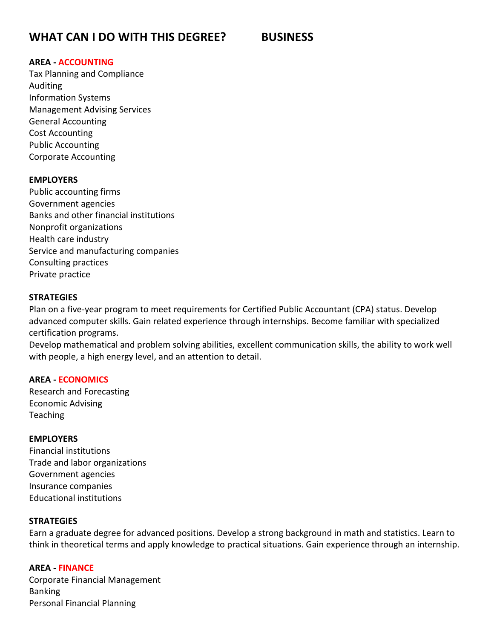# **WHAT CAN I DO WITH THIS DEGREE? BUSINESS**

### **AREA - ACCOUNTING**

Tax Planning and Compliance Auditing Information Systems Management Advising Services General Accounting Cost Accounting Public Accounting Corporate Accounting

# **EMPLOYERS**

Public accounting firms Government agencies Banks and other financial institutions Nonprofit organizations Health care industry Service and manufacturing companies Consulting practices Private practice

#### **STRATEGIES**

Plan on a five-year program to meet requirements for Certified Public Accountant (CPA) status. Develop advanced computer skills. Gain related experience through internships. Become familiar with specialized certification programs.

Develop mathematical and problem solving abilities, excellent communication skills, the ability to work well with people, a high energy level, and an attention to detail.

#### **AREA - ECONOMICS**

Research and Forecasting Economic Advising Teaching

#### **EMPLOYERS**

Financial institutions Trade and labor organizations Government agencies Insurance companies Educational institutions

#### **STRATEGIES**

Earn a graduate degree for advanced positions. Develop a strong background in math and statistics. Learn to think in theoretical terms and apply knowledge to practical situations. Gain experience through an internship.

# **AREA - FINANCE**

Corporate Financial Management Banking Personal Financial Planning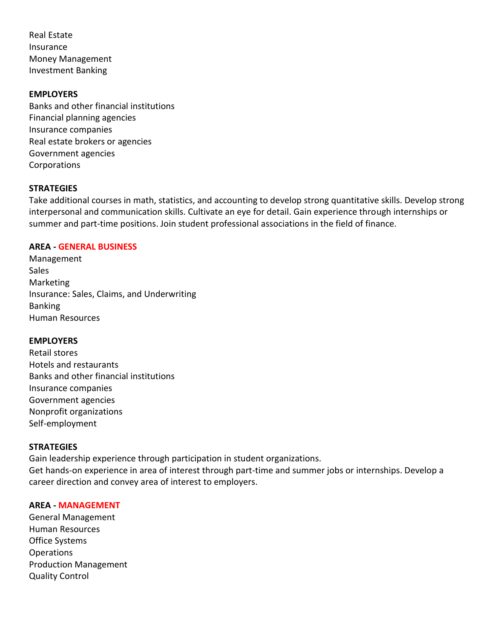Real Estate Insurance Money Management Investment Banking

### **EMPLOYERS**

Banks and other financial institutions Financial planning agencies Insurance companies Real estate brokers or agencies Government agencies Corporations

# **STRATEGIES**

Take additional courses in math, statistics, and accounting to develop strong quantitative skills. Develop strong interpersonal and communication skills. Cultivate an eye for detail. Gain experience through internships or summer and part-time positions. Join student professional associations in the field of finance.

#### **AREA - GENERAL BUSINESS**

Management Sales Marketing Insurance: Sales, Claims, and Underwriting Banking Human Resources

#### **EMPLOYERS**

Retail stores Hotels and restaurants Banks and other financial institutions Insurance companies Government agencies Nonprofit organizations Self-employment

# **STRATEGIES**

Gain leadership experience through participation in student organizations. Get hands-on experience in area of interest through part-time and summer jobs or internships. Develop a career direction and convey area of interest to employers.

#### **AREA - MANAGEMENT**

General Management Human Resources Office Systems Operations Production Management Quality Control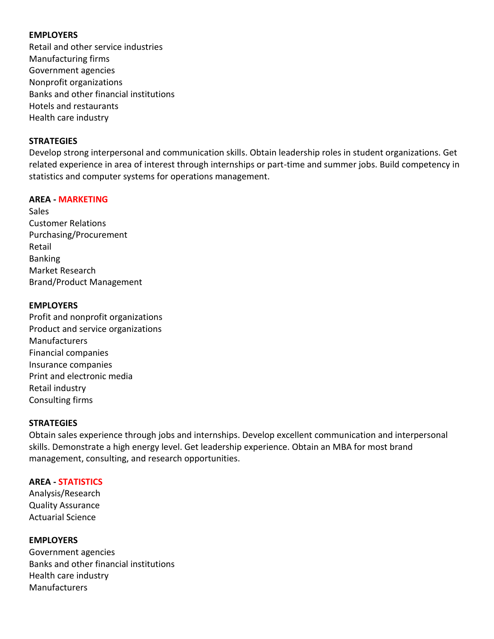# **EMPLOYERS**

Retail and other service industries Manufacturing firms Government agencies Nonprofit organizations Banks and other financial institutions Hotels and restaurants Health care industry

# **STRATEGIES**

Develop strong interpersonal and communication skills. Obtain leadership roles in student organizations. Get related experience in area of interest through internships or part-time and summer jobs. Build competency in statistics and computer systems for operations management.

# **AREA - MARKETING**

Sales Customer Relations Purchasing/Procurement Retail Banking Market Research Brand/Product Management

# **EMPLOYERS**

Profit and nonprofit organizations Product and service organizations Manufacturers Financial companies Insurance companies Print and electronic media Retail industry Consulting firms

# **STRATEGIES**

Obtain sales experience through jobs and internships. Develop excellent communication and interpersonal skills. Demonstrate a high energy level. Get leadership experience. Obtain an MBA for most brand management, consulting, and research opportunities.

# **AREA - STATISTICS**

Analysis/Research Quality Assurance Actuarial Science

**EMPLOYERS** Government agencies Banks and other financial institutions Health care industry Manufacturers